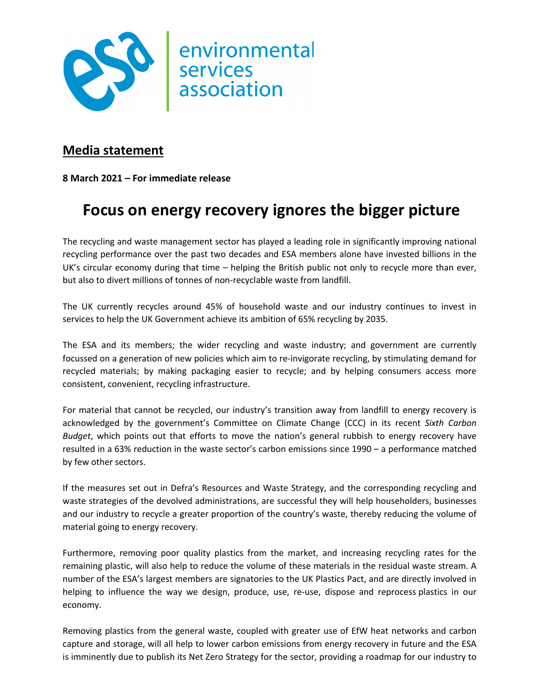

## **Media statement**

**8 March 2021 – For immediate release**

## **Focus on energy recovery ignores the bigger picture**

The recycling and waste management sector has played a leading role in significantly improving national recycling performance over the past two decades and ESA members alone have invested billions in the UK's circular economy during that time – helping the British public not only to recycle more than ever, but also to divert millions of tonnes of non-recyclable waste from landfill.

The UK currently recycles around 45% of household waste and our industry continues to invest in services to help the UK Government achieve its ambition of 65% recycling by 2035.

The ESA and its members; the wider recycling and waste industry; and government are currently focussed on a generation of new policies which aim to re-invigorate recycling, by stimulating demand for recycled materials; by making packaging easier to recycle; and by helping consumers access more consistent, convenient, recycling infrastructure.

For material that cannot be recycled, our industry's transition away from landfill to energy recovery is acknowledged by the government's Committee on Climate Change (CCC) in its recent *Sixth Carbon Budget*, which points out that efforts to move the nation's general rubbish to energy recovery have resulted in a 63% reduction in the waste sector's carbon emissions since 1990 – a performance matched by few other sectors.

If the measures set out in Defra's Resources and Waste Strategy, and the corresponding recycling and waste strategies of the devolved administrations, are successful they will help householders, businesses and our industry to recycle a greater proportion of the country's waste, thereby reducing the volume of material going to energy recovery.

Furthermore, removing poor quality plastics from the market, and increasing recycling rates for the remaining plastic, will also help to reduce the volume of these materials in the residual waste stream. A number of the ESA's largest members are signatories to the UK Plastics Pact, and are directly involved in helping to influence the way we design, produce, use, re-use, dispose and reprocess plastics in our economy.

Removing plastics from the general waste, coupled with greater use of EfW heat networks and carbon capture and storage, will all help to lower carbon emissions from energy recovery in future and the ESA is imminently due to publish its Net Zero Strategy for the sector, providing a roadmap for our industry to